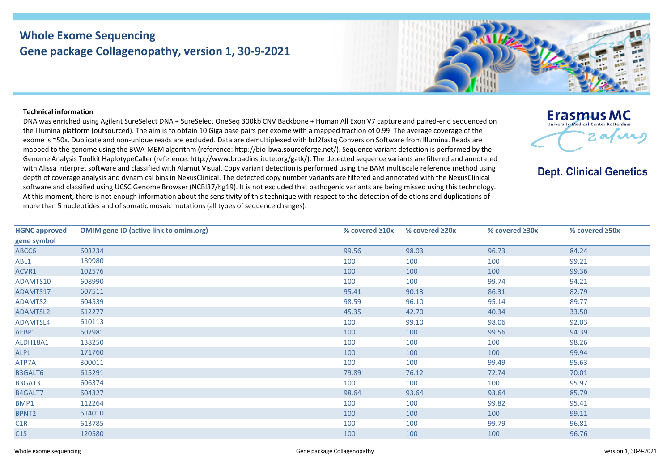## **Whole Exome Sequencing Gene package Collagenopathy, version 1, 30-9-2021**



## **Technical information**

DNA was enriched using Agilent SureSelect DNA + SureSelect OneSeq 300kb CNV Backbone + Human All Exon V7 capture and paired-end sequenced on the Illumina platform (outsourced). The aim is to obtain 10 Giga base pairs per exome with a mapped fraction of 0.99. The average coverage of the exome is ~50x. Duplicate and non-unique reads are excluded. Data are demultiplexed with bcl2fastq Conversion Software from Illumina. Reads are mapped to the genome using the BWA-MEM algorithm (reference: http://bio-bwa.sourceforge.net/). Sequence variant detection is performed by the Genome Analysis Toolkit HaplotypeCaller (reference: http://www.broadinstitute.org/gatk/). The detected sequence variants are filtered and annotated with Alissa Interpret software and classified with Alamut Visual. Copy variant detection is performed using the BAM multiscale reference method using depth of coverage analysis and dynamical bins in NexusClinical. The detected copy number variants are filtered and annotated with the NexusClinical software and classified using UCSC Genome Browser (NCBI37/hg19). It is not excluded that pathogenic variants are being missed using this technology. At this moment, there is not enough information about the sensitivity of this technique with respect to the detection of deletions and duplications of more than 5 nucleotides and of somatic mosaic mutations (all types of sequence changes).



**Dept. Clinical Genetics** 

| <b>HGNC approved</b> | <b>OMIM gene ID (active link to omim.org)</b> | % covered $\geq 10x$ | % covered $\geq$ 20x | % covered $\geq 30x$ | % covered ≥50x |
|----------------------|-----------------------------------------------|----------------------|----------------------|----------------------|----------------|
| gene symbol          |                                               |                      |                      |                      |                |
| ABCC6                | 603234                                        | 99.56                | 98.03                | 96.73                | 84.24          |
| ABL1                 | 189980                                        | 100                  | 100                  | 100                  | 99.21          |
| ACVR1                | 102576                                        | 100                  | 100                  | 100                  | 99.36          |
| ADAMTS10             | 608990                                        | 100                  | 100                  | 99.74                | 94.21          |
| ADAMTS17             | 607511                                        | 95.41                | 90.13                | 86.31                | 82.79          |
| ADAMTS2              | 604539                                        | 98.59                | 96.10                | 95.14                | 89.77          |
| ADAMTSL2             | 612277                                        | 45.35                | 42.70                | 40.34                | 33.50          |
| ADAMTSL4             | 610113                                        | 100                  | 99.10                | 98.06                | 92.03          |
| AEBP1                | 602981                                        | 100                  | 100                  | 99.56                | 94.39          |
| ALDH18A1             | 138250                                        | 100                  | 100                  | 100                  | 98.26          |
| <b>ALPL</b>          | 171760                                        | 100                  | 100                  | 100                  | 99.94          |
| ATP7A                | 300011                                        | 100                  | 100                  | 99.49                | 95.63          |
| <b>B3GALT6</b>       | 615291                                        | 79.89                | 76.12                | 72.74                | 70.01          |
| B3GAT3               | 606374                                        | 100                  | 100                  | 100                  | 95.97          |
| B4GALT7              | 604327                                        | 98.64                | 93.64                | 93.64                | 85.79          |
| BMP1                 | 112264                                        | 100                  | 100                  | 99.82                | 95.41          |
| BPNT <sub>2</sub>    | 614010                                        | 100                  | 100                  | 100                  | 99.11          |
| C1R                  | 613785                                        | 100                  | 100                  | 99.79                | 96.81          |
| C1S                  | 120580                                        | 100                  | 100                  | 100                  | 96.76          |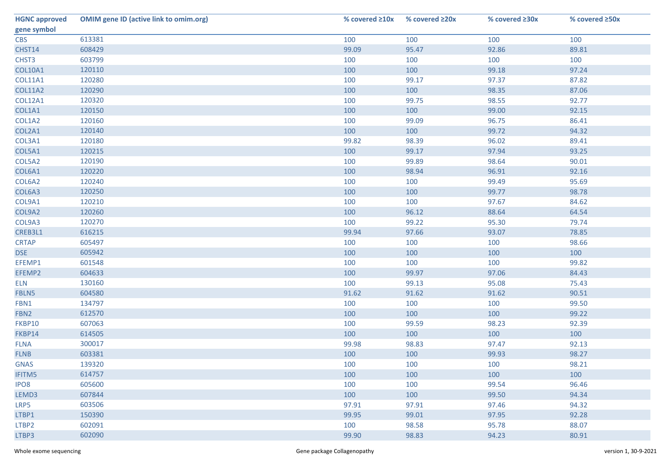| <b>HGNC approved</b> | <b>OMIM gene ID (active link to omim.org)</b> | % covered $\geq 10x$ | % covered $\geq 20x$ | % covered ≥30x | % covered ≥50x |
|----------------------|-----------------------------------------------|----------------------|----------------------|----------------|----------------|
| gene symbol          |                                               |                      |                      |                |                |
| <b>CBS</b>           | 613381                                        | 100                  | 100                  | 100            | 100            |
| CHST14               | 608429                                        | 99.09                | 95.47                | 92.86          | 89.81          |
| CHST3                | 603799                                        | 100                  | 100                  | 100            | 100            |
| <b>COL10A1</b>       | 120110                                        | 100                  | 100                  | 99.18          | 97.24          |
| <b>COL11A1</b>       | 120280                                        | 100                  | 99.17                | 97.37          | 87.82          |
| <b>COL11A2</b>       | 120290                                        | 100                  | 100                  | 98.35          | 87.06          |
| <b>COL12A1</b>       | 120320                                        | 100                  | 99.75                | 98.55          | 92.77          |
| COL1A1               | 120150                                        | 100                  | 100                  | 99.00          | 92.15          |
| COL1A2               | 120160                                        | 100                  | 99.09                | 96.75          | 86.41          |
| COL2A1               | 120140                                        | 100                  | 100                  | 99.72          | 94.32          |
| COL3A1               | 120180                                        | 99.82                | 98.39                | 96.02          | 89.41          |
| COL5A1               | 120215                                        | 100                  | 99.17                | 97.94          | 93.25          |
| COL5A2               | 120190                                        | 100                  | 99.89                | 98.64          | 90.01          |
| COL6A1               | 120220                                        | 100                  | 98.94                | 96.91          | 92.16          |
| COL6A2               | 120240                                        | 100                  | 100                  | 99.49          | 95.69          |
| COL6A3               | 120250                                        | 100                  | 100                  | 99.77          | 98.78          |
| COL9A1               | 120210                                        | 100                  | 100                  | 97.67          | 84.62          |
| COL9A2               | 120260                                        | 100                  | 96.12                | 88.64          | 64.54          |
| COL9A3               | 120270                                        | 100                  | 99.22                | 95.30          | 79.74          |
| CREB3L1              | 616215                                        | 99.94                | 97.66                | 93.07          | 78.85          |
| <b>CRTAP</b>         | 605497                                        | 100                  | 100                  | 100            | 98.66          |
| <b>DSE</b>           | 605942                                        | 100                  | 100                  | 100            | 100            |
| EFEMP1               | 601548                                        | 100                  | 100                  | 100            | 99.82          |
| EFEMP2               | 604633                                        | 100                  | 99.97                | 97.06          | 84.43          |
| <b>ELN</b>           | 130160                                        | 100                  | 99.13                | 95.08          | 75.43          |
| FBLN5                | 604580                                        | 91.62                | 91.62                | 91.62          | 90.51          |
| FBN1                 | 134797                                        | 100                  | 100                  | 100            | 99.50          |
| FBN <sub>2</sub>     | 612570                                        | 100                  | 100                  | 100            | 99.22          |
| FKBP10               | 607063                                        | 100                  | 99.59                | 98.23          | 92.39          |
| FKBP14               | 614505                                        | 100                  | 100                  | 100            | 100            |
| <b>FLNA</b>          | 300017                                        | 99.98                | 98.83                | 97.47          | 92.13          |
| <b>FLNB</b>          | 603381                                        | 100                  | 100                  | 99.93          | 98.27          |
| <b>GNAS</b>          | 139320                                        | 100                  | 100                  | 100            | 98.21          |
| <b>IFITM5</b>        | 614757                                        | 100                  | 100                  | 100            | 100            |
| IPO <sub>8</sub>     | 605600                                        | 100                  | 100                  | 99.54          | 96.46          |
| LEMD3                | 607844                                        | 100                  | 100                  | 99.50          | 94.34          |
| LRP5                 | 603506                                        | 97.91                | 97.91                | 97.46          | 94.32          |
| LTBP1                | 150390                                        | 99.95                | 99.01                | 97.95          | 92.28          |
| LTBP2                | 602091                                        | 100                  | 98.58                | 95.78          | 88.07          |
| LTBP3                | 602090                                        | 99.90                | 98.83                | 94.23          | 80.91          |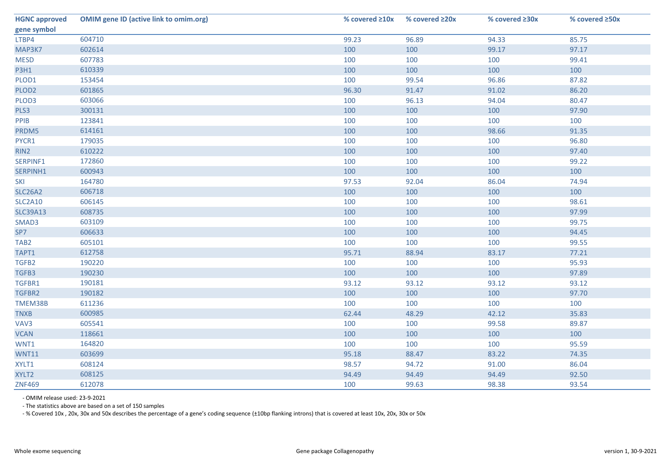| <b>HGNC approved</b> | <b>OMIM gene ID (active link to omim.org)</b> | % covered $\geq 10x$ | % covered ≥20x | % covered ≥30x | % covered ≥50x |
|----------------------|-----------------------------------------------|----------------------|----------------|----------------|----------------|
| gene symbol          |                                               |                      |                |                |                |
| LTBP4                | 604710                                        | 99.23                | 96.89          | 94.33          | 85.75          |
| MAP3K7               | 602614                                        | 100                  | 100            | 99.17          | 97.17          |
| <b>MESD</b>          | 607783                                        | 100                  | 100            | 100            | 99.41          |
| <b>P3H1</b>          | 610339                                        | 100                  | 100            | 100            | 100            |
| PLOD1                | 153454                                        | 100                  | 99.54          | 96.86          | 87.82          |
| PLOD <sub>2</sub>    | 601865                                        | 96.30                | 91.47          | 91.02          | 86.20          |
| PLOD3                | 603066                                        | 100                  | 96.13          | 94.04          | 80.47          |
| PLS3                 | 300131                                        | 100                  | 100            | 100            | 97.90          |
| PPIB                 | 123841                                        | 100                  | 100            | 100            | 100            |
| PRDM5                | 614161                                        | 100                  | 100            | 98.66          | 91.35          |
| PYCR1                | 179035                                        | 100                  | 100            | 100            | 96.80          |
| RIN2                 | 610222                                        | 100                  | 100            | 100            | 97.40          |
| SERPINF1             | 172860                                        | 100                  | 100            | 100            | 99.22          |
| SERPINH1             | 600943                                        | 100                  | 100            | 100            | 100            |
| SKI                  | 164780                                        | 97.53                | 92.04          | 86.04          | 74.94          |
| <b>SLC26A2</b>       | 606718                                        | 100                  | 100            | 100            | 100            |
| <b>SLC2A10</b>       | 606145                                        | 100                  | 100            | 100            | 98.61          |
| <b>SLC39A13</b>      | 608735                                        | 100                  | 100            | 100            | 97.99          |
| SMAD3                | 603109                                        | 100                  | 100            | 100            | 99.75          |
| SP7                  | 606633                                        | 100                  | 100            | 100            | 94.45          |
| TAB <sub>2</sub>     | 605101                                        | 100                  | 100            | 100            | 99.55          |
| TAPT1                | 612758                                        | 95.71                | 88.94          | 83.17          | 77.21          |
| TGFB2                | 190220                                        | 100                  | 100            | 100            | 95.93          |
| TGFB3                | 190230                                        | 100                  | 100            | 100            | 97.89          |
| TGFBR1               | 190181                                        | 93.12                | 93.12          | 93.12          | 93.12          |
| TGFBR2               | 190182                                        | 100                  | 100            | 100            | 97.70          |
| TMEM38B              | 611236                                        | 100                  | 100            | 100            | 100            |
| <b>TNXB</b>          | 600985                                        | 62.44                | 48.29          | 42.12          | 35.83          |
| VAV3                 | 605541                                        | 100                  | 100            | 99.58          | 89.87          |
| <b>VCAN</b>          | 118661                                        | 100                  | 100            | 100            | 100            |
| WNT1                 | 164820                                        | 100                  | 100            | 100            | 95.59          |
| <b>WNT11</b>         | 603699                                        | 95.18                | 88.47          | 83.22          | 74.35          |
| XYLT1                | 608124                                        | 98.57                | 94.72          | 91.00          | 86.04          |
| XYLT2                | 608125                                        | 94.49                | 94.49          | 94.49          | 92.50          |
| <b>ZNF469</b>        | 612078                                        | 100                  | 99.63          | 98.38          | 93.54          |

- OMIM release used: 23-9-2021

- The statistics above are based on a set of 150 samples

- % Covered 10x , 20x, 30x and 50x describes the percentage of a gene's coding sequence (±10bp flanking introns) that is covered at least 10x, 20x, 30x or 50x